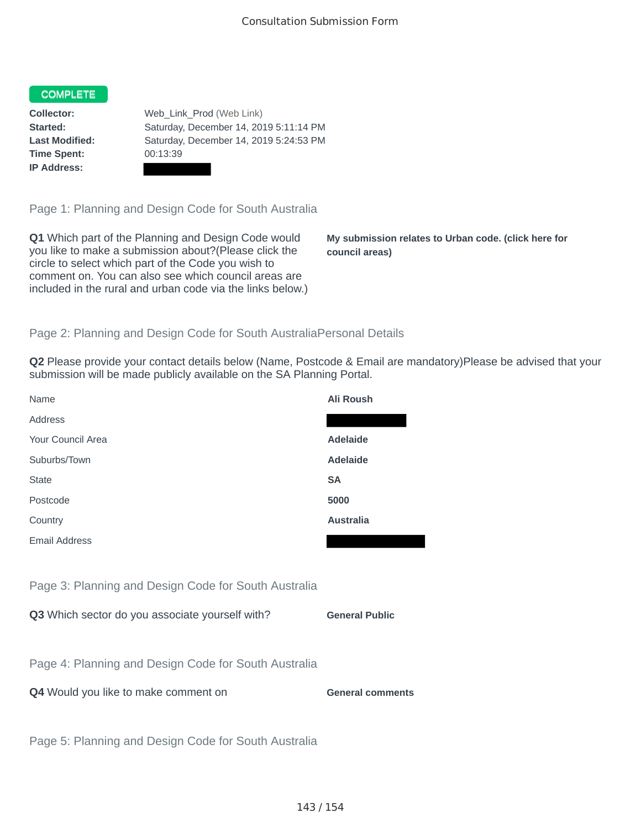## COMPLETE

**Time Spent:** 00:13:39 **IP Address:**

**Collector:** Web\_Link\_Prod (Web Link) **Started:** Saturday, December 14, 2019 5:11:14 PM **Last Modified:** Saturday, December 14, 2019 5:24:53 PM

Page 1: Planning and Design Code for South Australia

**Q1** Which part of the Planning and Design Code would you like to make a submission about?(Please click the circle to select which part of the Code you wish to comment on. You can also see which council areas are included in the rural and urban code via the links below.)

**My submission relates to Urban code. (click here for council areas)**

## Page 2: Planning and Design Code for South AustraliaPersonal Details

**Q2** Please provide your contact details below (Name, Postcode & Email are mandatory)Please be advised that your submission will be made publicly available on the SA Planning Portal.

| Name                                                 | <b>Ali Roush</b>        |
|------------------------------------------------------|-------------------------|
| Address                                              |                         |
| Your Council Area                                    | <b>Adelaide</b>         |
| Suburbs/Town                                         | <b>Adelaide</b>         |
| <b>State</b>                                         | <b>SA</b>               |
| Postcode                                             | 5000                    |
| Country                                              | <b>Australia</b>        |
| <b>Email Address</b>                                 |                         |
|                                                      |                         |
| Page 3: Planning and Design Code for South Australia |                         |
| Q3 Which sector do you associate yourself with?      | <b>General Public</b>   |
|                                                      |                         |
| Page 4: Planning and Design Code for South Australia |                         |
| Q4 Would you like to make comment on                 | <b>General comments</b> |
|                                                      |                         |
| Page 5: Planning and Design Code for South Australia |                         |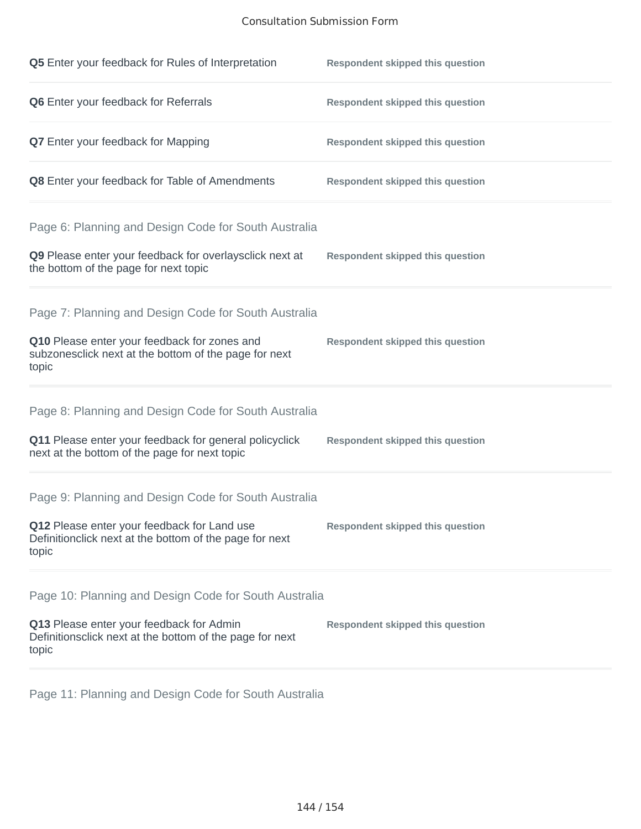## Consultation Submission Form

| Q5 Enter your feedback for Rules of Interpretation                                                              | <b>Respondent skipped this question</b> |
|-----------------------------------------------------------------------------------------------------------------|-----------------------------------------|
| Q6 Enter your feedback for Referrals                                                                            | <b>Respondent skipped this question</b> |
| <b>Q7</b> Enter your feedback for Mapping                                                                       | <b>Respondent skipped this question</b> |
| Q8 Enter your feedback for Table of Amendments                                                                  | <b>Respondent skipped this question</b> |
| Page 6: Planning and Design Code for South Australia                                                            |                                         |
| Q9 Please enter your feedback for overlaysclick next at<br>the bottom of the page for next topic                | <b>Respondent skipped this question</b> |
| Page 7: Planning and Design Code for South Australia                                                            |                                         |
| Q10 Please enter your feedback for zones and<br>subzonesclick next at the bottom of the page for next<br>topic  | <b>Respondent skipped this question</b> |
| Page 8: Planning and Design Code for South Australia                                                            |                                         |
| Q11 Please enter your feedback for general policyclick<br>next at the bottom of the page for next topic         | <b>Respondent skipped this question</b> |
| Page 9: Planning and Design Code for South Australia                                                            |                                         |
| Q12 Please enter your feedback for Land use<br>Definitionclick next at the bottom of the page for next<br>topic | <b>Respondent skipped this question</b> |
| Page 10: Planning and Design Code for South Australia                                                           |                                         |
| Q13 Please enter your feedback for Admin<br>Definitionsclick next at the bottom of the page for next<br>topic   | <b>Respondent skipped this question</b> |

Page 11: Planning and Design Code for South Australia